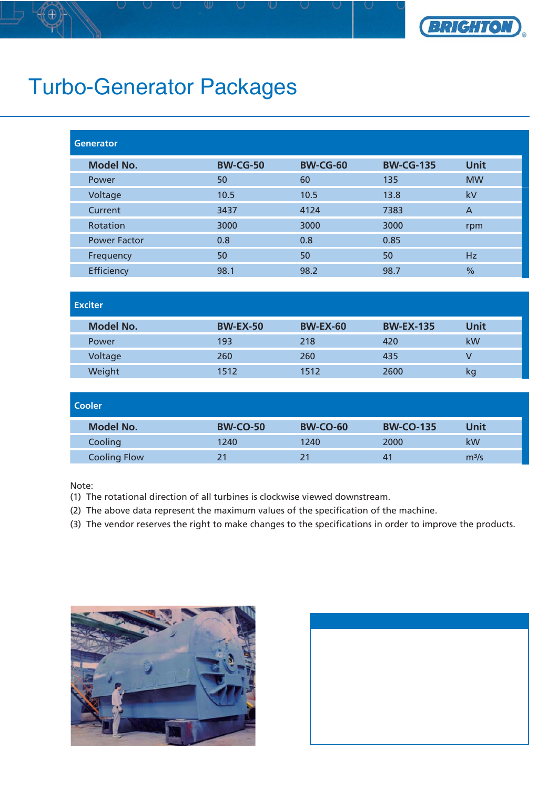

## Turbo-Generator Packages

| <b>Generator</b>    |                 |                 |                  |                |
|---------------------|-----------------|-----------------|------------------|----------------|
| <b>Model No.</b>    | <b>BW-CG-50</b> | <b>BW-CG-60</b> | <b>BW-CG-135</b> | <b>Unit</b>    |
| Power               | 50              | 60              | 135              | <b>MW</b>      |
| Voltage             | 10.5            | 10.5            | 13.8             | kV             |
| Current             | 3437            | 4124            | 7383             | $\overline{A}$ |
| Rotation            | 3000            | 3000            | 3000             | rpm            |
| <b>Power Factor</b> | 0.8             | 0.8             | 0.85             |                |
| Frequency           | 50              | 50              | 50               | Hz             |
| Efficiency          | 98.1            | 98.2            | 98.7             | $\frac{0}{0}$  |

| <b>Exciter</b> |  |
|----------------|--|
|                |  |

| <b>Model No.</b> | <b>BW-EX-50</b> | <b>BW-EX-60</b> | <b>BW-EX-135</b> | Unit |
|------------------|-----------------|-----------------|------------------|------|
| Power            | 193             | 218             | 420              | kW   |
| Voltage          | 260             | 260             | 435              |      |
| Weight           | 1512            | 1512            | 2600             | κg   |

| <b>Cooler</b>       |                 |                 |                  |                   |  |  |
|---------------------|-----------------|-----------------|------------------|-------------------|--|--|
| <b>Model No.</b>    | <b>BW-CO-50</b> | <b>BW-CO-60</b> | <b>BW-CO-135</b> | Unit              |  |  |
| Cooling             | 1240            | 1240            | 2000             | kW                |  |  |
| <b>Cooling Flow</b> | 21              | 21              | 4 <sup>1</sup>   | m <sup>3</sup> /s |  |  |

Note:

- (1) The rotational direction of all turbines is clockwise viewed downstream.
- (2) The above data represent the maximum values of the specification of the machine.
- (3) The vendor reserves the right to make changes to the specifications in order to improve the products.